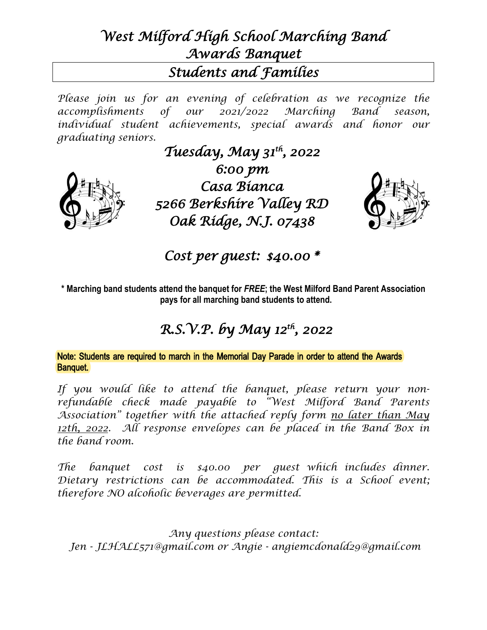## *West Milford High School Marching Band Awards Banquet Students and Families*

*Please join us for an evening of celebration as we recognize the accomplishments of our 2021/2022 Marching Band season, individual student achievements, special awards and honor our graduating seniors.* 



*Tuesday, May 31th , 2022 6:00 pm Casa Bianca 5266 Berkshire Valley RD Oak Ridge, N.J. 07438* 



*Cost per guest: \$40.00 \** 

**\* Marching band students attend the banquet for** *FREE***; the West Milford Band Parent Association pays for all marching band students to attend.** 

## *R.S.V.P. by May 12th, 2022*

Note: Students are required to march in the Memorial Day Parade in order to attend the Awards Banquet.

*If you would like to attend the banquet, please return your nonrefundable check made payable to "West Milford Band Parents Association" together with the attached reply form no later than May 12th, 2022. All response envelopes can be placed in the Band Box in the band room.* 

*The banquet cost is \$40.00 per guest which includes dinner. Dietary restrictions can be accommodated. This is a School event; therefore NO alcoholic beverages are permitted.* 

*Any questions please contact: Jen - JLHALL571@gmail.com or Angie - angiemcdonald29@gmail.com*